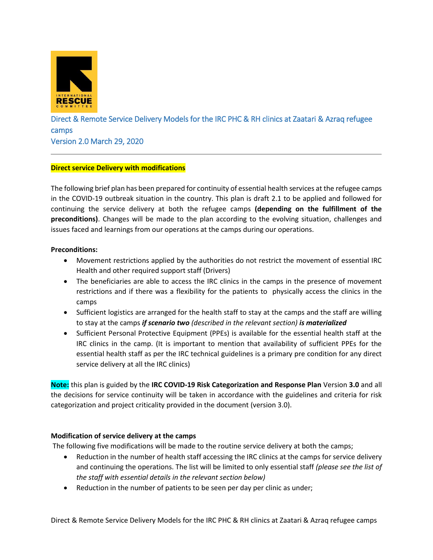

# Direct & Remote Service Delivery Models for the IRC PHC & RH clinics at Zaatari & Azraq refugee camps Version 2.0 March 29, 2020

# **Direct service Delivery with modifications**

The following brief plan has been prepared for continuity of essential health services at the refugee camps in the COVID-19 outbreak situation in the country. This plan is draft 2.1 to be applied and followed for continuing the service delivery at both the refugee camps **(depending on the fulfillment of the preconditions)**. Changes will be made to the plan according to the evolving situation, challenges and issues faced and learnings from our operations at the camps during our operations.

## **Preconditions:**

- Movement restrictions applied by the authorities do not restrict the movement of essential IRC Health and other required support staff (Drivers)
- The beneficiaries are able to access the IRC clinics in the camps in the presence of movement restrictions and if there was a flexibility for the patients to physically access the clinics in the camps
- Sufficient logistics are arranged for the health staff to stay at the camps and the staff are willing to stay at the camps *if scenario two (described in the relevant section) is materialized*
- Sufficient Personal Protective Equipment (PPEs) is available for the essential health staff at the IRC clinics in the camp. (It is important to mention that availability of sufficient PPEs for the essential health staff as per the IRC technical guidelines is a primary pre condition for any direct service delivery at all the IRC clinics)

**Note:** this plan is guided by the **IRC COVID-19 Risk Categorization and Response Plan** Version **3.0** and all the decisions for service continuity will be taken in accordance with the guidelines and criteria for risk categorization and project criticality provided in the document (version 3.0).

# **Modification of service delivery at the camps**

The following five modifications will be made to the routine service delivery at both the camps;

- Reduction in the number of health staff accessing the IRC clinics at the camps for service delivery and continuing the operations. The list will be limited to only essential staff *(please see the list of the staff with essential details in the relevant section below)*
- Reduction in the number of patients to be seen per day per clinic as under;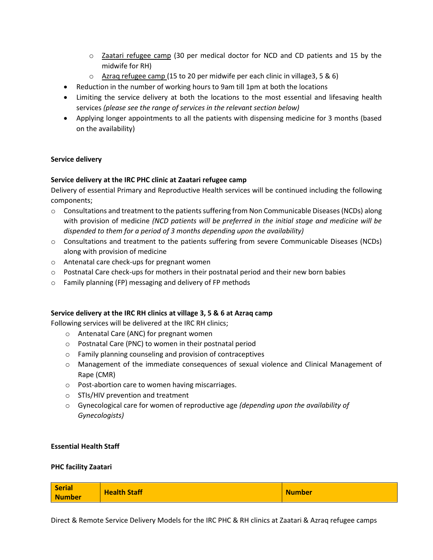- $\circ$  Zaatari refugee camp (30 per medical doctor for NCD and CD patients and 15 by the midwife for RH)
- $\circ$  Azrag refugee camp (15 to 20 per midwife per each clinic in village3, 5 & 6)
- Reduction in the number of working hours to 9am till 1pm at both the locations
- Limiting the service delivery at both the locations to the most essential and lifesaving health services *(please see the range of services in the relevant section below)*
- Applying longer appointments to all the patients with dispensing medicine for 3 months (based on the availability)

# **Service delivery**

# **Service delivery at the IRC PHC clinic at Zaatari refugee camp**

Delivery of essential Primary and Reproductive Health services will be continued including the following components;

- $\circ$  Consultations and treatment to the patients suffering from Non Communicable Diseases (NCDs) along with provision of medicine *(NCD patients will be preferred in the initial stage and medicine will be dispended to them for a period of 3 months depending upon the availability)*
- o Consultations and treatment to the patients suffering from severe Communicable Diseases (NCDs) along with provision of medicine
- o Antenatal care check-ups for pregnant women
- o Postnatal Care check-ups for mothers in their postnatal period and their new born babies
- o Family planning (FP) messaging and delivery of FP methods

# **Service delivery at the IRC RH clinics at village 3, 5 & 6 at Azraq camp**

Following services will be delivered at the IRC RH clinics;

- o Antenatal Care (ANC) for pregnant women
- o Postnatal Care (PNC) to women in their postnatal period
- o Family planning counseling and provision of contraceptives
- o Management of the immediate consequences of sexual violence and Clinical Management of Rape (CMR)
- o Post-abortion care to women having miscarriages.
- o STIs/HIV prevention and treatment
- o Gynecological care for women of reproductive age *(depending upon the availability of Gynecologists)*

# **Essential Health Staff**

# **PHC facility Zaatari**

| Serial<br><b>Number</b> | <b>Health Staff</b> | <b>Number</b> |
|-------------------------|---------------------|---------------|
|-------------------------|---------------------|---------------|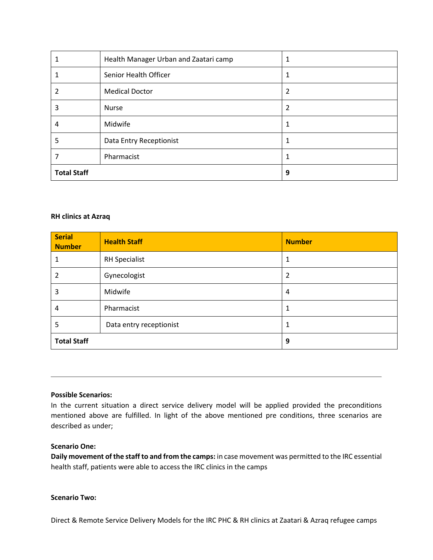|                    | Health Manager Urban and Zaatari camp |   |
|--------------------|---------------------------------------|---|
|                    | Senior Health Officer                 |   |
| 2                  | <b>Medical Doctor</b>                 | 2 |
| 3                  | <b>Nurse</b>                          | 2 |
| 4                  | Midwife                               |   |
| 5                  | Data Entry Receptionist               |   |
|                    | Pharmacist                            |   |
| <b>Total Staff</b> |                                       | 9 |

## **RH clinics at Azraq**

| <b>Serial</b><br><b>Number</b> | <b>Health Staff</b>     | <b>Number</b>  |
|--------------------------------|-------------------------|----------------|
|                                | <b>RH Specialist</b>    | 1              |
|                                | Gynecologist            | 2              |
| 3                              | Midwife                 | $\overline{4}$ |
| 4                              | Pharmacist              | 1              |
| 5                              | Data entry receptionist | 1              |
| <b>Total Staff</b>             |                         | 9              |

## **Possible Scenarios:**

In the current situation a direct service delivery model will be applied provided the preconditions mentioned above are fulfilled. In light of the above mentioned pre conditions, three scenarios are described as under;

### **Scenario One:**

**Daily movement of the staff to and from the camps:** in case movement was permitted to the IRC essential health staff, patients were able to access the IRC clinics in the camps

## **Scenario Two:**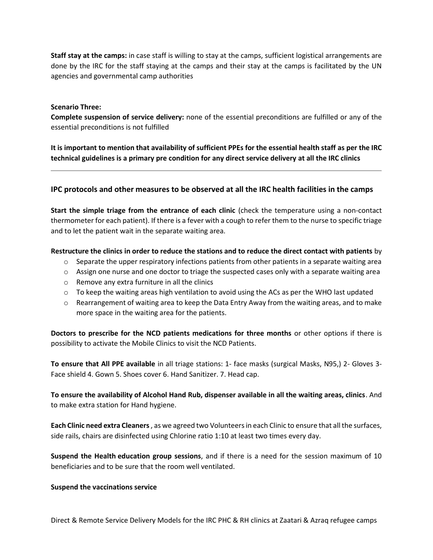**Staff stay at the camps:** in case staff is willing to stay at the camps, sufficient logistical arrangements are done by the IRC for the staff staying at the camps and their stay at the camps is facilitated by the UN agencies and governmental camp authorities

## **Scenario Three:**

**Complete suspension of service delivery:** none of the essential preconditions are fulfilled or any of the essential preconditions is not fulfilled

**It is important to mention that availability of sufficient PPEs for the essential health staff as per the IRC technical guidelines is a primary pre condition for any direct service delivery at all the IRC clinics**

# **IPC protocols and other measures to be observed at all the IRC health facilities in the camps**

**Start the simple triage from the entrance of each clinic** (check the temperature using a non-contact thermometer for each patient). If there is a fever with a cough to refer them to the nurse to specific triage and to let the patient wait in the separate waiting area.

# **Restructure the clinics in order to reduce the stations and to reduce the direct contact with patients** by

- $\circ$  Separate the upper respiratory infections patients from other patients in a separate waiting area
- $\circ$  Assign one nurse and one doctor to triage the suspected cases only with a separate waiting area
- o Remove any extra furniture in all the clinics
- $\circ$  To keep the waiting areas high ventilation to avoid using the ACs as per the WHO last updated
- $\circ$  Rearrangement of waiting area to keep the Data Entry Away from the waiting areas, and to make more space in the waiting area for the patients.

**Doctors to prescribe for the NCD patients medications for three months** or other options if there is possibility to activate the Mobile Clinics to visit the NCD Patients.

**To ensure that All PPE available** in all triage stations: 1- face masks (surgical Masks, N95,) 2- Gloves 3- Face shield 4. Gown 5. Shoes cover 6. Hand Sanitizer. 7. Head cap.

**To ensure the availability of Alcohol Hand Rub, dispenser available in all the waiting areas, clinics**. And to make extra station for Hand hygiene.

**Each Clinic need extra Cleaners**, as we agreed two Volunteers in each Clinic to ensure that all the surfaces, side rails, chairs are disinfected using Chlorine ratio 1:10 at least two times every day.

**Suspend the Health education group sessions**, and if there is a need for the session maximum of 10 beneficiaries and to be sure that the room well ventilated.

### **Suspend the vaccinations service**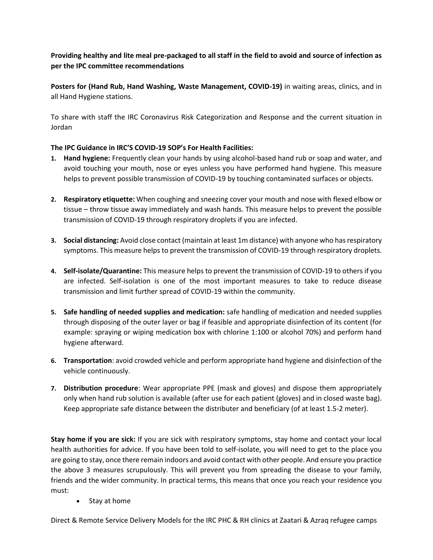**Providing healthy and lite meal pre-packaged to all staff in the field to avoid and source of infection as per the IPC committee recommendations**

**Posters for (Hand Rub, Hand Washing, Waste Management, COVID-19)** in waiting areas, clinics, and in all Hand Hygiene stations.

To share with staff the IRC Coronavirus Risk Categorization and Response and the current situation in Jordan

# **The IPC Guidance in IRC'S COVID-19 SOP's For Health Facilities:**

- **1. Hand hygiene:** Frequently clean your hands by using alcohol-based hand rub or soap and water, and avoid touching your mouth, nose or eyes unless you have performed hand hygiene. This measure helps to prevent possible transmission of COVID-19 by touching contaminated surfaces or objects.
- **2. Respiratory etiquette:** When coughing and sneezing cover your mouth and nose with flexed elbow or tissue – throw tissue away immediately and wash hands. This measure helps to prevent the possible transmission of COVID-19 through respiratory droplets if you are infected.
- **3. Social distancing:** Avoid close contact (maintain at least 1m distance) with anyone who has respiratory symptoms. This measure helps to prevent the transmission of COVID-19 through respiratory droplets.
- **4. Self-isolate/Quarantine:** This measure helps to prevent the transmission of COVID-19 to others if you are infected. Self-isolation is one of the most important measures to take to reduce disease transmission and limit further spread of COVID-19 within the community.
- **5. Safe handling of needed supplies and medication:** safe handling of medication and needed supplies through disposing of the outer layer or bag if feasible and appropriate disinfection of its content (for example: spraying or wiping medication box with chlorine 1:100 or alcohol 70%) and perform hand hygiene afterward.
- **6. Transportation**: avoid crowded vehicle and perform appropriate hand hygiene and disinfection of the vehicle continuously.
- **7. Distribution procedure**: Wear appropriate PPE (mask and gloves) and dispose them appropriately only when hand rub solution is available (after use for each patient (gloves) and in closed waste bag). Keep appropriate safe distance between the distributer and beneficiary (of at least 1.5-2 meter).

**Stay home if you are sick:** If you are sick with respiratory symptoms, stay home and contact your local health authorities for advice. If you have been told to self-isolate, you will need to get to the place you are going to stay, once there remain indoors and avoid contact with other people. And ensure you practice the above 3 measures scrupulously. This will prevent you from spreading the disease to your family, friends and the wider community. In practical terms, this means that once you reach your residence you must:

• Stay at home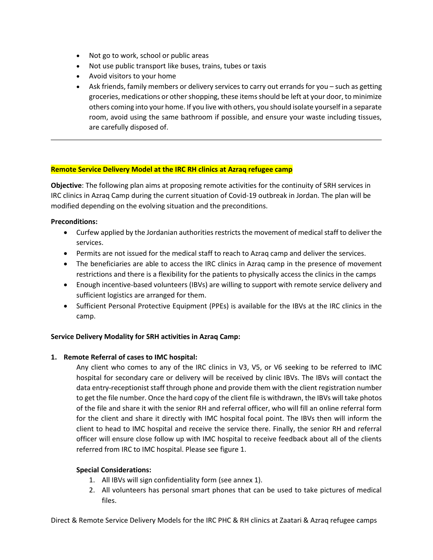- Not go to work, school or public areas
- Not use public transport like buses, trains, tubes or taxis
- Avoid visitors to your home
- Ask friends, family members or delivery services to carry out errands for you such as getting groceries, medications or other shopping, these items should be left at your door, to minimize others coming into your home. If you live with others, you should isolate yourself in a separate room, avoid using the same bathroom if possible, and ensure your waste including tissues, are carefully disposed of.

# **Remote Service Delivery Model at the IRC RH clinics at Azraq refugee camp**

**Objective**: The following plan aims at proposing remote activities for the continuity of SRH services in IRC clinics in Azraq Camp during the current situation of Covid-19 outbreak in Jordan. The plan will be modified depending on the evolving situation and the preconditions.

## **Preconditions:**

- Curfew applied by the Jordanian authorities restricts the movement of medical staff to deliver the services.
- Permits are not issued for the medical staff to reach to Azraq camp and deliver the services.
- The beneficiaries are able to access the IRC clinics in Azraq camp in the presence of movement restrictions and there is a flexibility for the patients to physically access the clinics in the camps
- Enough incentive-based volunteers (IBVs) are willing to support with remote service delivery and sufficient logistics are arranged for them.
- Sufficient Personal Protective Equipment (PPEs) is available for the IBVs at the IRC clinics in the camp.

# **Service Delivery Modality for SRH activities in Azraq Camp:**

# **1. Remote Referral of cases to IMC hospital:**

Any client who comes to any of the IRC clinics in V3, V5, or V6 seeking to be referred to IMC hospital for secondary care or delivery will be received by clinic IBVs. The IBVs will contact the data entry-receptionist staff through phone and provide them with the client registration number to get the file number. Once the hard copy of the client file is withdrawn, the IBVs will take photos of the file and share it with the senior RH and referral officer, who will fill an online referral form for the client and share it directly with IMC hospital focal point. The IBVs then will inform the client to head to IMC hospital and receive the service there. Finally, the senior RH and referral officer will ensure close follow up with IMC hospital to receive feedback about all of the clients referred from IRC to IMC hospital. Please see figure 1.

### **Special Considerations:**

- 1. All IBVs will sign confidentiality form (see annex 1).
- 2. All volunteers has personal smart phones that can be used to take pictures of medical files.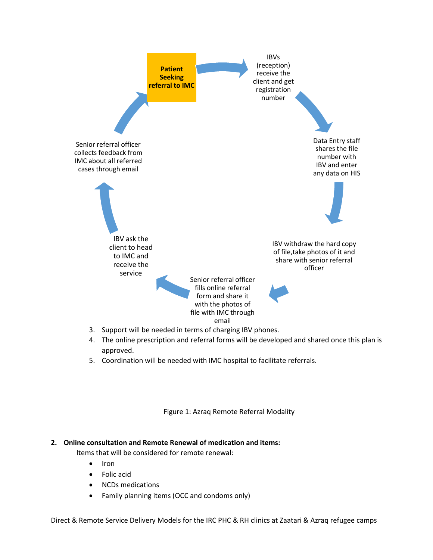

- 4. The online prescription and referral forms will be developed and shared once this plan is approved.
- 5. Coordination will be needed with IMC hospital to facilitate referrals.

Figure 1: Azraq Remote Referral Modality

### **2. Online consultation and Remote Renewal of medication and items:**

Items that will be considered for remote renewal:

- Iron
- Folic acid
- NCDs medications
- Family planning items (OCC and condoms only)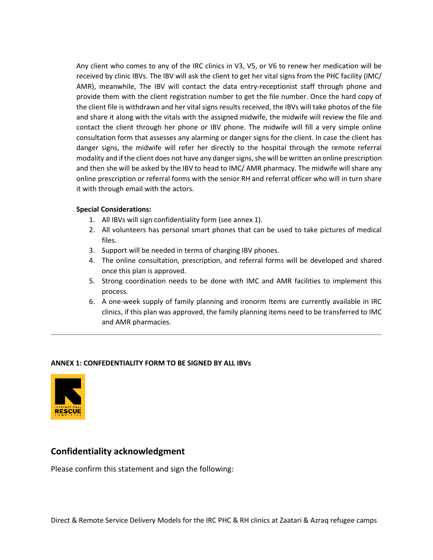Any client who comes to any of the IRC clinics in V3, V5, or V6 to renew her medication will be received by clinic IBVs. The IBV will ask the client to get her vital signs from the PHC facility (IMC/ AMR), meanwhile, The IBV will contact the data entry-receptionist staff through phone and provide them with the client registration number to get the file number. Once the hard copy of the client file is withdrawn and her vital signs results received, the IBVs will take photos of the file and share it along with the vitals with the assigned midwife, the midwife will review the file and contact the client through her phone or IBV phone. The midwife will fill a very simple online consultation form that assesses any alarming or danger signs for the client. In case the client has danger signs, the midwife will refer her directly to the hospital through the remote referral modality and if the client does not have any danger signs, she will be written an online prescription and then she will be asked by the IBV to head to IMC/ AMR pharmacy. The midwife will share any online prescription or referral forms with the senior RH and referral officer who will in turn share it with through email with the actors.

# **Special Considerations:**

- 1. All IBVs will sign confidentiality form (see annex 1).
- 2. All volunteers has personal smart phones that can be used to take pictures of medical files.
- 3. Support will be needed in terms of charging IBV phones.
- 4. The online consultation, prescription, and referral forms will be developed and shared once this plan is approved.
- 5. Strong coordination needs to be done with IMC and AMR facilities to implement this process.
- 6. A one-week supply of family planning and ironorm Items are currently available in IRC clinics, if this plan was approved, the family planning items need to be transferred to IMC and AMR pharmacies.

# **ANNEX 1: CONFEDENTIALITY FORM TO BE SIGNED BY ALL IBVs**



# **Confidentiality acknowledgment**

Please confirm this statement and sign the following: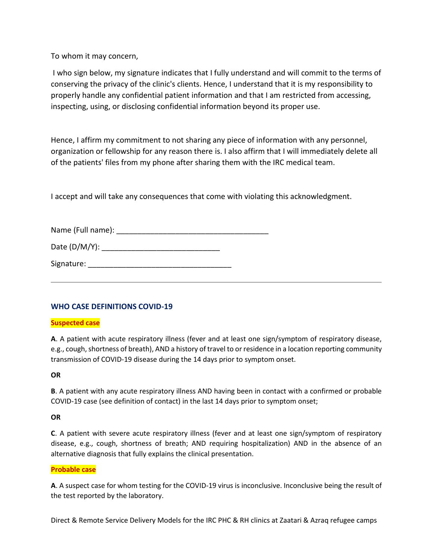To whom it may concern,

I who sign below, my signature indicates that I fully understand and will commit to the terms of conserving the privacy of the clinic's clients. Hence, I understand that it is my responsibility to properly handle any confidential patient information and that I am restricted from accessing, inspecting, using, or disclosing confidential information beyond its proper use.

Hence, I affirm my commitment to not sharing any piece of information with any personnel, organization or fellowship for any reason there is. I also affirm that I will immediately delete all of the patients' files from my phone after sharing them with the IRC medical team.

I accept and will take any consequences that come with violating this acknowledgment.

| Name (Full name): |  |
|-------------------|--|
| Date (D/M/Y):     |  |
| Signature:        |  |

# **WHO CASE DEFINITIONS COVID-19**

# **Suspected case**

**A**. A patient with acute respiratory illness (fever and at least one sign/symptom of respiratory disease, e.g., cough, shortness of breath), AND a history of travel to or residence in a location reporting community transmission of COVID-19 disease during the 14 days prior to symptom onset.

**OR**

**B**. A patient with any acute respiratory illness AND having been in contact with a confirmed or probable COVID-19 case (see definition of contact) in the last 14 days prior to symptom onset;

# **OR**

**C**. A patient with severe acute respiratory illness (fever and at least one sign/symptom of respiratory disease, e.g., cough, shortness of breath; AND requiring hospitalization) AND in the absence of an alternative diagnosis that fully explains the clinical presentation.

# **Probable case**

**A**. A suspect case for whom testing for the COVID-19 virus is inconclusive. Inconclusive being the result of the test reported by the laboratory.